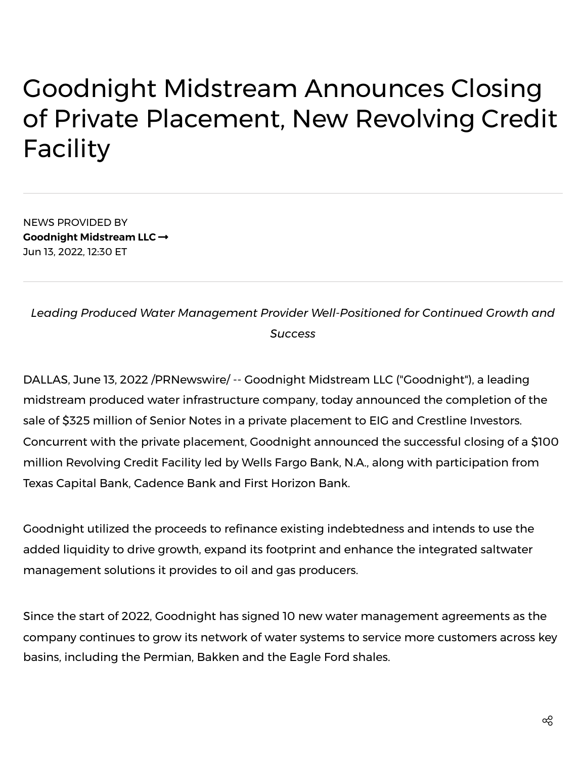## Goodnight Midstream Announces Closing of Private Placement, New Revolving Credit Facility

NEWS PROVIDED BY **Goodnight [Midstream](https://www.prnewswire.com/news/goodnight-midstream-llc/) LLC** Jun 13, 2022, 12:30 ET

*Leading Produced Water Management Provider Well-Positioned for Continued Growth and Success*

DALLAS, June 13, 2022 /PRNewswire/ -- Goodnight Midstream LLC ("Goodnight"), a leading midstream produced water infrastructure company, today announced the completion of the sale of \$325 million of Senior Notes in a private placement to EIG and Crestline Investors. Concurrent with the private placement, Goodnight announced the successful closing of a \$100 million Revolving Credit Facility led by Wells Fargo Bank, N.A., along with participation from Texas Capital Bank, Cadence Bank and First Horizon Bank.

Goodnight utilized the proceeds to refinance existing indebtedness and intends to use the added liquidity to drive growth, expand its footprint and enhance the integrated saltwater management solutions it provides to oil and gas producers.

Since the start of 2022, Goodnight has signed 10 new water management agreements as the company continues to grow its network of water systems to service more customers across key basins, including the Permian, Bakken and the Eagle Ford shales.